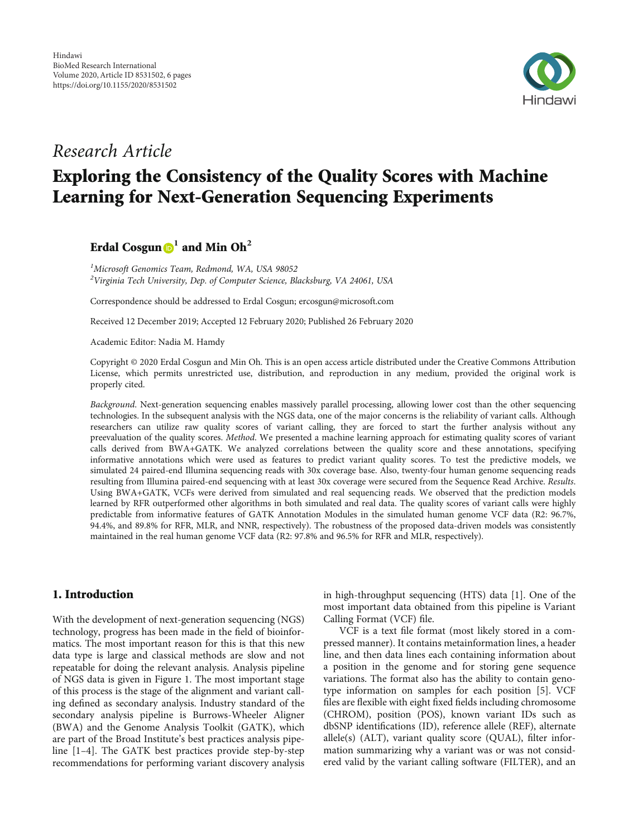

## Research Article

# Exploring the Consistency of the Quality Scores with Machine Learning for Next-Generation Sequencing Experiments

### Erdal Cosgun **<sup>1</sup>** and Min Oh**<sup>2</sup>**

<sup>1</sup>Microsoft Genomics Team, Redmond, WA, USA 98052  $^2$ Virginia Tech University, Dep. of Computer Science, Blacksburg, VA 24061, USA

Correspondence should be addressed to Erdal Cosgun; ercosgun@microsoft.com

Received 12 December 2019; Accepted 12 February 2020; Published 26 February 2020

Academic Editor: Nadia M. Hamdy

Copyright © 2020 Erdal Cosgun and Min Oh. This is an open access article distributed under the [Creative Commons Attribution](https://creativecommons.org/licenses/by/4.0/) [License,](https://creativecommons.org/licenses/by/4.0/) which permits unrestricted use, distribution, and reproduction in any medium, provided the original work is properly cited.

Background. Next-generation sequencing enables massively parallel processing, allowing lower cost than the other sequencing technologies. In the subsequent analysis with the NGS data, one of the major concerns is the reliability of variant calls. Although researchers can utilize raw quality scores of variant calling, they are forced to start the further analysis without any preevaluation of the quality scores. Method. We presented a machine learning approach for estimating quality scores of variant calls derived from BWA+GATK. We analyzed correlations between the quality score and these annotations, specifying informative annotations which were used as features to predict variant quality scores. To test the predictive models, we simulated 24 paired-end Illumina sequencing reads with 30x coverage base. Also, twenty-four human genome sequencing reads resulting from Illumina paired-end sequencing with at least 30x coverage were secured from the Sequence Read Archive. Results. Using BWA+GATK, VCFs were derived from simulated and real sequencing reads. We observed that the prediction models learned by RFR outperformed other algorithms in both simulated and real data. The quality scores of variant calls were highly predictable from informative features of GATK Annotation Modules in the simulated human genome VCF data (R2: 96.7%, 94.4%, and 89.8% for RFR, MLR, and NNR, respectively). The robustness of the proposed data-driven models was consistently maintained in the real human genome VCF data (R2: 97.8% and 96.5% for RFR and MLR, respectively).

#### 1. Introduction

With the development of next-generation sequencing (NGS) technology, progress has been made in the field of bioinformatics. The most important reason for this is that this new data type is large and classical methods are slow and not repeatable for doing the relevant analysis. Analysis pipeline of NGS data is given in Figure [1](#page-1-0). The most important stage of this process is the stage of the alignment and variant calling defined as secondary analysis. Industry standard of the secondary analysis pipeline is Burrows-Wheeler Aligner (BWA) and the Genome Analysis Toolkit (GATK), which are part of the Broad Institute's best practices analysis pipeline [\[1](#page-5-0)–[4](#page-5-0)]. The GATK best practices provide step-by-step recommendations for performing variant discovery analysis

in high-throughput sequencing (HTS) data [[1](#page-5-0)]. One of the most important data obtained from this pipeline is Variant Calling Format (VCF) file.

VCF is a text file format (most likely stored in a compressed manner). It contains metainformation lines, a header line, and then data lines each containing information about a position in the genome and for storing gene sequence variations. The format also has the ability to contain genotype information on samples for each position [[5\]](#page-5-0). VCF files are flexible with eight fixed fields including chromosome (CHROM), position (POS), known variant IDs such as dbSNP identifications (ID), reference allele (REF), alternate allele(s) (ALT), variant quality score (QUAL), filter information summarizing why a variant was or was not considered valid by the variant calling software (FILTER), and an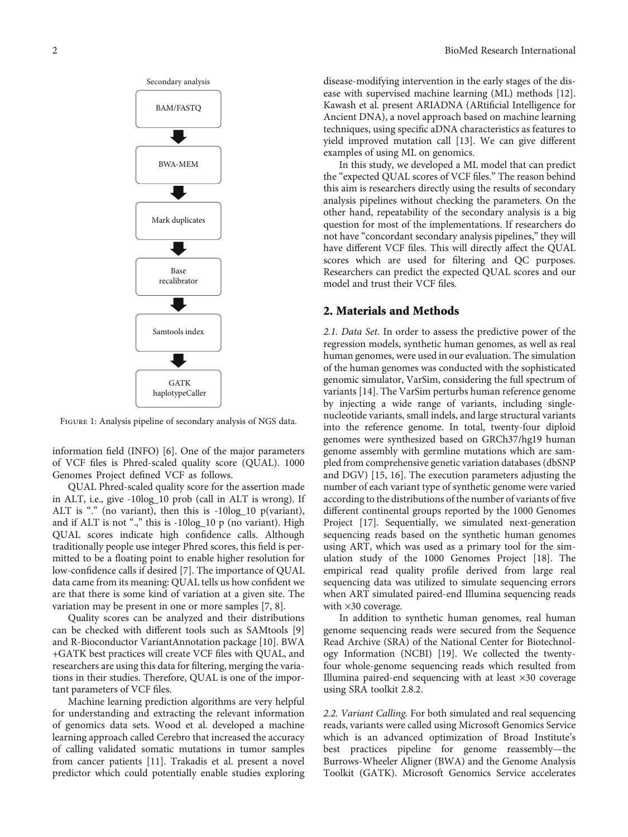<span id="page-1-0"></span>

Figure 1: Analysis pipeline of secondary analysis of NGS data.

information field (INFO) [[6\]](#page-5-0). One of the major parameters of VCF files is Phred-scaled quality score (QUAL). 1000 Genomes Project defined VCF as follows.

QUAL Phred-scaled quality score for the assertion made in ALT, i.e., give -10log\_10 prob (call in ALT is wrong). If ALT is "." (no variant), then this is -10log\_10 p(variant), and if ALT is not ".," this is -10log\_10 p (no variant). High QUAL scores indicate high confidence calls. Although traditionally people use integer Phred scores, this field is permitted to be a floating point to enable higher resolution for low-confidence calls if desired [\[7\]](#page-5-0). The importance of QUAL data came from its meaning: QUAL tells us how confident we are that there is some kind of variation at a given site. The variation may be present in one or more samples [[7, 8](#page-5-0)].

Quality scores can be analyzed and their distributions can be checked with different tools such as SAMtools [[9\]](#page-5-0) and R-Bioconductor VariantAnnotation package [[10](#page-5-0)]. BWA +GATK best practices will create VCF files with QUAL, and researchers are using this data for filtering, merging the variations in their studies. Therefore, QUAL is one of the important parameters of VCF files.

Machine learning prediction algorithms are very helpful for understanding and extracting the relevant information of genomics data sets. Wood et al. developed a machine learning approach called Cerebro that increased the accuracy of calling validated somatic mutations in tumor samples from cancer patients [\[11](#page-5-0)]. Trakadis et al. present a novel predictor which could potentially enable studies exploring

disease-modifying intervention in the early stages of the disease with supervised machine learning (ML) methods [[12](#page-5-0)]. Kawash et al. present ARIADNA (ARtificial Intelligence for Ancient DNA), a novel approach based on machine learning techniques, using specific aDNA characteristics as features to yield improved mutation call [[13](#page-5-0)]. We can give different examples of using ML on genomics.

In this study, we developed a ML model that can predict the "expected QUAL scores of VCF files." The reason behind this aim is researchers directly using the results of secondary analysis pipelines without checking the parameters. On the other hand, repeatability of the secondary analysis is a big question for most of the implementations. If researchers do not have "concordant secondary analysis pipelines," they will have different VCF files. This will directly affect the QUAL scores which are used for filtering and QC purposes. Researchers can predict the expected QUAL scores and our model and trust their VCF files.

#### 2. Materials and Methods

2.1. Data Set. In order to assess the predictive power of the regression models, synthetic human genomes, as well as real human genomes, were used in our evaluation. The simulation of the human genomes was conducted with the sophisticated genomic simulator, VarSim, considering the full spectrum of variants [\[14\]](#page-5-0). The VarSim perturbs human reference genome by injecting a wide range of variants, including singlenucleotide variants, small indels, and large structural variants into the reference genome. In total, twenty-four diploid genomes were synthesized based on GRCh37/hg19 human genome assembly with germline mutations which are sampled from comprehensive genetic variation databases (dbSNP and DGV) [\[15, 16](#page-5-0)]. The execution parameters adjusting the number of each variant type of synthetic genome were varied according to the distributions of the number of variants of five different continental groups reported by the 1000 Genomes Project [[17](#page-5-0)]. Sequentially, we simulated next-generation sequencing reads based on the synthetic human genomes using ART, which was used as a primary tool for the simulation study of the 1000 Genomes Project [[18](#page-5-0)]. The empirical read quality profile derived from large real sequencing data was utilized to simulate sequencing errors when ART simulated paired-end Illumina sequencing reads with  $\times$ 30 coverage.

In addition to synthetic human genomes, real human genome sequencing reads were secured from the Sequence Read Archive (SRA) of the National Center for Biotechnology Information (NCBI) [[19](#page-5-0)]. We collected the twentyfour whole-genome sequencing reads which resulted from Illumina paired-end sequencing with at least ×30 coverage using SRA toolkit 2.8.2.

2.2. Variant Calling. For both simulated and real sequencing reads, variants were called using Microsoft Genomics Service which is an advanced optimization of Broad Institute's best practices pipeline for genome reassembly—the Burrows-Wheeler Aligner (BWA) and the Genome Analysis Toolkit (GATK). Microsoft Genomics Service accelerates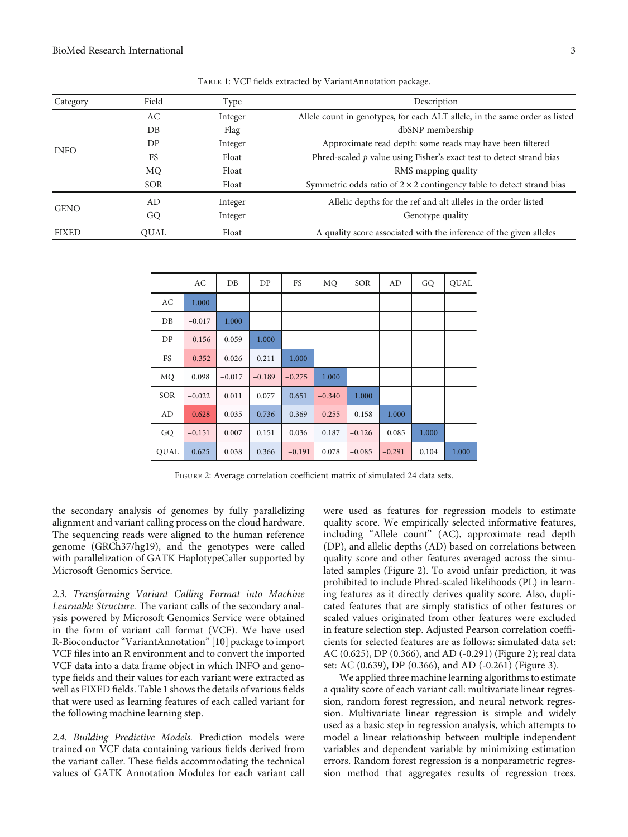| Category     | Field       | Type    | Description                                                                  |
|--------------|-------------|---------|------------------------------------------------------------------------------|
| <b>INFO</b>  | AC          | Integer | Allele count in genotypes, for each ALT allele, in the same order as listed  |
|              | $DB$        | Flag    | dbSNP membership                                                             |
|              | DP          | Integer | Approximate read depth: some reads may have been filtered                    |
|              | FS          | Float   | Phred-scaled $p$ value using Fisher's exact test to detect strand bias       |
|              | MQ          | Float   | RMS mapping quality                                                          |
|              | <b>SOR</b>  | Float   | Symmetric odds ratio of $2 \times 2$ contingency table to detect strand bias |
| <b>GENO</b>  | AD          | Integer | Allelic depths for the ref and alt alleles in the order listed               |
|              | GQ          | Integer | Genotype quality                                                             |
| <b>FIXED</b> | <b>OUAL</b> | Float   | A quality score associated with the inference of the given alleles           |

Table 1: VCF fields extracted by VariantAnnotation package.

|             | AC       | DB       | DP       | FS       | MQ       | SOR      | AD       | GQ    | <b>QUAL</b> |
|-------------|----------|----------|----------|----------|----------|----------|----------|-------|-------------|
| AC          | 1.000    |          |          |          |          |          |          |       |             |
| DB          | $-0.017$ | 1.000    |          |          |          |          |          |       |             |
| DP          | $-0.156$ | 0.059    | 1.000    |          |          |          |          |       |             |
| FS          | $-0.352$ | 0.026    | 0.211    | 1.000    |          |          |          |       |             |
| MQ          | 0.098    | $-0.017$ | $-0.189$ | $-0.275$ | 1.000    |          |          |       |             |
| SOR         | $-0.022$ | 0.011    | 0.077    | 0.651    | $-0.340$ | 1.000    |          |       |             |
| AD          | $-0.628$ | 0.035    | 0.736    | 0.369    | $-0.255$ | 0.158    | 1.000    |       |             |
| GQ          | $-0.151$ | 0.007    | 0.151    | 0.036    | 0.187    | $-0.126$ | 0.085    | 1.000 |             |
| <b>OUAL</b> | 0.625    | 0.038    | 0.366    | $-0.191$ | 0.078    | $-0.085$ | $-0.291$ | 0.104 | 1.000       |

Figure 2: Average correlation coefficient matrix of simulated 24 data sets.

the secondary analysis of genomes by fully parallelizing alignment and variant calling process on the cloud hardware. The sequencing reads were aligned to the human reference genome (GRCh37/hg19), and the genotypes were called with parallelization of GATK HaplotypeCaller supported by Microsoft Genomics Service.

2.3. Transforming Variant Calling Format into Machine Learnable Structure. The variant calls of the secondary analysis powered by Microsoft Genomics Service were obtained in the form of variant call format (VCF). We have used R-Bioconductor"VariantAnnotation"[\[10](#page-5-0)] package to import VCF files into an R environment and to convert the imported VCF data into a data frame object in which INFO and genotype fields and their values for each variant were extracted as well as FIXED fields. Table 1 shows the details of various fields that were used as learning features of each called variant for the following machine learning step.

2.4. Building Predictive Models. Prediction models were trained on VCF data containing various fields derived from the variant caller. These fields accommodating the technical values of GATK Annotation Modules for each variant call

were used as features for regression models to estimate quality score. We empirically selected informative features, including "Allele count" (AC), approximate read depth (DP), and allelic depths (AD) based on correlations between quality score and other features averaged across the simulated samples (Figure 2). To avoid unfair prediction, it was prohibited to include Phred-scaled likelihoods (PL) in learning features as it directly derives quality score. Also, duplicated features that are simply statistics of other features or scaled values originated from other features were excluded in feature selection step. Adjusted Pearson correlation coefficients for selected features are as follows: simulated data set: AC (0.625), DP (0.366), and AD (-0.291) (Figure 2); real data set: AC (0.639), DP (0.366), and AD (-0.261) (Figure [3](#page-3-0)).

We applied three machine learning algorithms to estimate a quality score of each variant call: multivariate linear regression, random forest regression, and neural network regression. Multivariate linear regression is simple and widely used as a basic step in regression analysis, which attempts to model a linear relationship between multiple independent variables and dependent variable by minimizing estimation errors. Random forest regression is a nonparametric regression method that aggregates results of regression trees.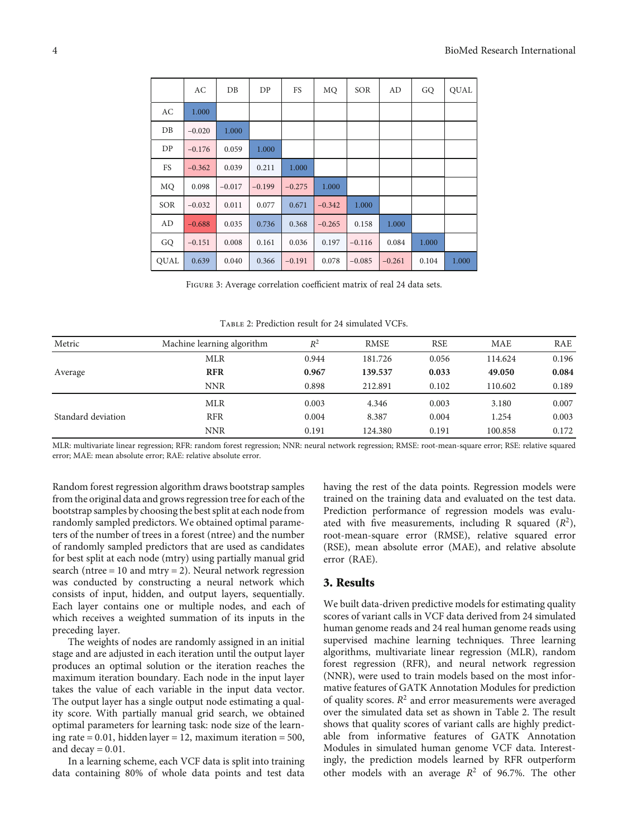<span id="page-3-0"></span>

|            | AC       | DB       | DP       | FS       | MQ       | <b>SOR</b> | AD       | GQ    | <b>QUAL</b> |
|------------|----------|----------|----------|----------|----------|------------|----------|-------|-------------|
| AC         | 1.000    |          |          |          |          |            |          |       |             |
| $DB$       | $-0.020$ | 1.000    |          |          |          |            |          |       |             |
| DP         | $-0.176$ | 0.059    | 1.000    |          |          |            |          |       |             |
| FS         | $-0.362$ | 0.039    | 0.211    | 1.000    |          |            |          |       |             |
| MQ         | 0.098    | $-0.017$ | $-0.199$ | $-0.275$ | 1.000    |            |          |       |             |
| <b>SOR</b> | $-0.032$ | 0.011    | 0.077    | 0.671    | $-0.342$ | 1.000      |          |       |             |
| AD         | $-0.688$ | 0.035    | 0.736    | 0.368    | $-0.265$ | 0.158      | 1.000    |       |             |
| GQ         | $-0.151$ | 0.008    | 0.161    | 0.036    | 0.197    | $-0.116$   | 0.084    | 1.000 |             |
| QUAL       | 0.639    | 0.040    | 0.366    | $-0.191$ | 0.078    | $-0.085$   | $-0.261$ | 0.104 | 1.000       |

Figure 3: Average correlation coefficient matrix of real 24 data sets.

Table 2: Prediction result for 24 simulated VCFs.

| Metric             | Machine learning algorithm | $R^2$ | <b>RMSE</b> | <b>RSE</b> | <b>MAE</b> | RAE   |
|--------------------|----------------------------|-------|-------------|------------|------------|-------|
|                    | <b>MLR</b>                 | 0.944 | 181.726     | 0.056      | 114.624    | 0.196 |
| Average            | <b>RFR</b>                 | 0.967 | 139.537     | 0.033      | 49.050     | 0.084 |
|                    | <b>NNR</b>                 | 0.898 | 212.891     | 0.102      | 110.602    | 0.189 |
|                    | <b>MLR</b>                 | 0.003 | 4.346       | 0.003      | 3.180      | 0.007 |
| Standard deviation | <b>RFR</b>                 | 0.004 | 8.387       | 0.004      | 1.254      | 0.003 |
|                    | <b>NNR</b>                 | 0.191 | 124.380     | 0.191      | 100.858    | 0.172 |

MLR: multivariate linear regression; RFR: random forest regression; NNR: neural network regression; RMSE: root-mean-square error; RSE: relative squared error; MAE: mean absolute error; RAE: relative absolute error.

Random forest regression algorithm draws bootstrap samples from the original data and grows regression tree for each of the bootstrap samples by choosing the best split at each node from randomly sampled predictors. We obtained optimal parameters of the number of trees in a forest (ntree) and the number of randomly sampled predictors that are used as candidates for best split at each node (mtry) using partially manual grid search (ntree  $= 10$  and mtry  $= 2$ ). Neural network regression was conducted by constructing a neural network which consists of input, hidden, and output layers, sequentially. Each layer contains one or multiple nodes, and each of which receives a weighted summation of its inputs in the preceding layer.

The weights of nodes are randomly assigned in an initial stage and are adjusted in each iteration until the output layer produces an optimal solution or the iteration reaches the maximum iteration boundary. Each node in the input layer takes the value of each variable in the input data vector. The output layer has a single output node estimating a quality score. With partially manual grid search, we obtained optimal parameters for learning task: node size of the learning rate = 0*:*01, hidden layer = 12, maximum iteration = 500, and decay = 0*:*01.

In a learning scheme, each VCF data is split into training data containing 80% of whole data points and test data

having the rest of the data points. Regression models were trained on the training data and evaluated on the test data. Prediction performance of regression models was evaluated with five measurements, including R squared  $(R^2)$ , root-mean-square error (RMSE), relative squared error (RSE), mean absolute error (MAE), and relative absolute error (RAE).

#### 3. Results

We built data-driven predictive models for estimating quality scores of variant calls in VCF data derived from 24 simulated human genome reads and 24 real human genome reads using supervised machine learning techniques. Three learning algorithms, multivariate linear regression (MLR), random forest regression (RFR), and neural network regression (NNR), were used to train models based on the most informative features of GATK Annotation Modules for prediction of quality scores.  $R^2$  and error measurements were averaged over the simulated data set as shown in Table 2. The result shows that quality scores of variant calls are highly predictable from informative features of GATK Annotation Modules in simulated human genome VCF data. Interestingly, the prediction models learned by RFR outperform other models with an average  $R^2$  of 96.7%. The other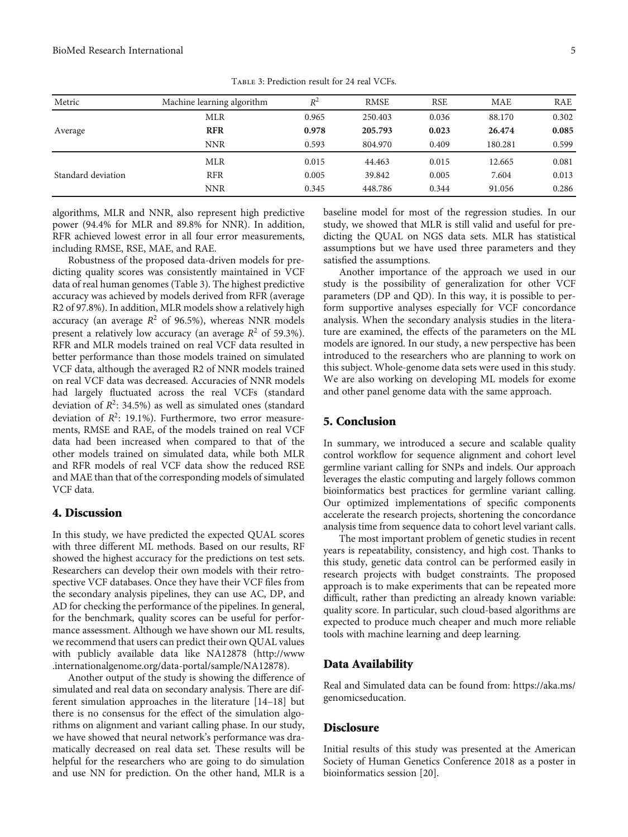| Metric             | Machine learning algorithm | $R^2$ | <b>RMSE</b> | <b>RSE</b> | <b>MAE</b> | RAE   |
|--------------------|----------------------------|-------|-------------|------------|------------|-------|
|                    | <b>MLR</b>                 | 0.965 | 250.403     | 0.036      | 88.170     | 0.302 |
| Average            | <b>RFR</b>                 | 0.978 | 205.793     | 0.023      | 26.474     | 0.085 |
|                    | <b>NNR</b>                 | 0.593 | 804.970     | 0.409      | 180.281    | 0.599 |
|                    | <b>MLR</b>                 | 0.015 | 44.463      | 0.015      | 12.665     | 0.081 |
| Standard deviation | <b>RFR</b>                 | 0.005 | 39.842      | 0.005      | 7.604      | 0.013 |
|                    | <b>NNR</b>                 | 0.345 | 448.786     | 0.344      | 91.056     | 0.286 |

Table 3: Prediction result for 24 real VCFs.

algorithms, MLR and NNR, also represent high predictive power (94.4% for MLR and 89.8% for NNR). In addition, RFR achieved lowest error in all four error measurements, including RMSE, RSE, MAE, and RAE.

Robustness of the proposed data-driven models for predicting quality scores was consistently maintained in VCF data of real human genomes (Table 3). The highest predictive accuracy was achieved by models derived from RFR (average R2 of 97.8%). In addition, MLR models show a relatively high accuracy (an average  $R^2$  of 96.5%), whereas NNR models present a relatively low accuracy (an average  $R^2$  of 59.3%). RFR and MLR models trained on real VCF data resulted in better performance than those models trained on simulated VCF data, although the averaged R2 of NNR models trained on real VCF data was decreased. Accuracies of NNR models had largely fluctuated across the real VCFs (standard deviation of  $R^2$ : 34.5%) as well as simulated ones (standard deviation of  $R^2$ : 19.1%). Furthermore, two error measurements, RMSE and RAE, of the models trained on real VCF data had been increased when compared to that of the other models trained on simulated data, while both MLR and RFR models of real VCF data show the reduced RSE and MAE than that of the corresponding models of simulated VCF data.

#### 4. Discussion

In this study, we have predicted the expected QUAL scores with three different ML methods. Based on our results, RF showed the highest accuracy for the predictions on test sets. Researchers can develop their own models with their retrospective VCF databases. Once they have their VCF files from the secondary analysis pipelines, they can use AC, DP, and AD for checking the performance of the pipelines. In general, for the benchmark, quality scores can be useful for performance assessment. Although we have shown our ML results, we recommend that users can predict their own QUAL values with publicly available data like NA12878 [\(http://www](http://www.internationalgenome.org/data-portal/sample/NA12878) [.internationalgenome.org/data-portal/sample/NA12878](http://www.internationalgenome.org/data-portal/sample/NA12878)).

Another output of the study is showing the difference of simulated and real data on secondary analysis. There are different simulation approaches in the literature [[14](#page-5-0)–[18](#page-5-0)] but there is no consensus for the effect of the simulation algorithms on alignment and variant calling phase. In our study, we have showed that neural network's performance was dramatically decreased on real data set. These results will be helpful for the researchers who are going to do simulation and use NN for prediction. On the other hand, MLR is a

baseline model for most of the regression studies. In our study, we showed that MLR is still valid and useful for predicting the QUAL on NGS data sets. MLR has statistical assumptions but we have used three parameters and they satisfied the assumptions.

Another importance of the approach we used in our study is the possibility of generalization for other VCF parameters (DP and QD). In this way, it is possible to perform supportive analyses especially for VCF concordance analysis. When the secondary analysis studies in the literature are examined, the effects of the parameters on the ML models are ignored. In our study, a new perspective has been introduced to the researchers who are planning to work on this subject. Whole-genome data sets were used in this study. We are also working on developing ML models for exome and other panel genome data with the same approach.

#### 5. Conclusion

In summary, we introduced a secure and scalable quality control workflow for sequence alignment and cohort level germline variant calling for SNPs and indels. Our approach leverages the elastic computing and largely follows common bioinformatics best practices for germline variant calling. Our optimized implementations of specific components accelerate the research projects, shortening the concordance analysis time from sequence data to cohort level variant calls.

The most important problem of genetic studies in recent years is repeatability, consistency, and high cost. Thanks to this study, genetic data control can be performed easily in research projects with budget constraints. The proposed approach is to make experiments that can be repeated more difficult, rather than predicting an already known variable: quality score. In particular, such cloud-based algorithms are expected to produce much cheaper and much more reliable tools with machine learning and deep learning.

#### Data Availability

Real and Simulated data can be found from: [https://aka.ms/](https://aka.ms/genomicseducation) [genomicseducation.](https://aka.ms/genomicseducation)

#### **Disclosure**

Initial results of this study was presented at the American Society of Human Genetics Conference 2018 as a poster in bioinformatics session [\[20\]](#page-5-0).